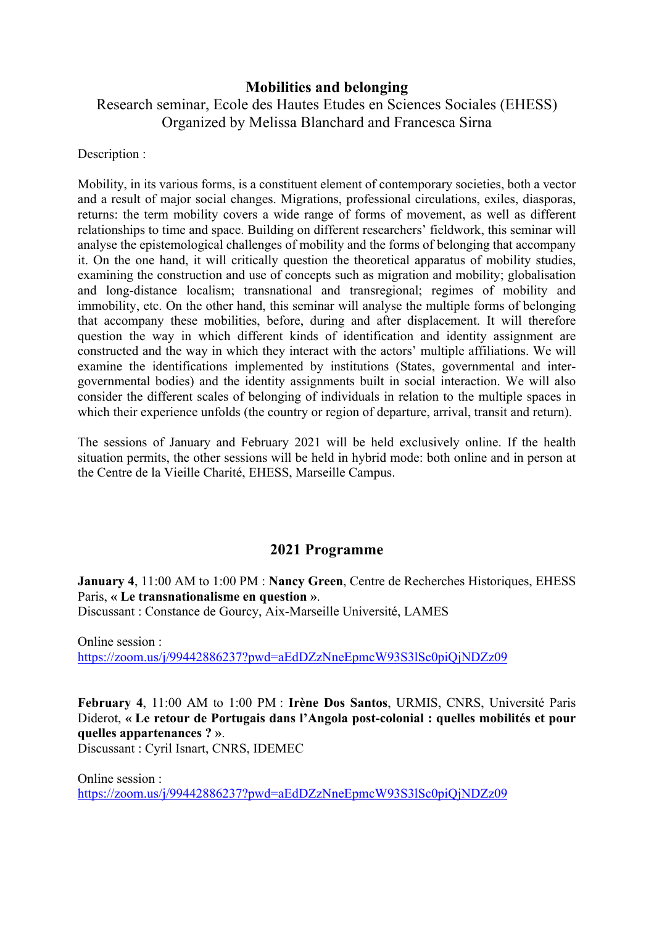## **Mobilities and belonging**

## Research seminar, Ecole des Hautes Etudes en Sciences Sociales (EHESS) Organized by Melissa Blanchard and Francesca Sirna

Description :

Mobility, in its various forms, is a constituent element of contemporary societies, both a vector and a result of major social changes. Migrations, professional circulations, exiles, diasporas, returns: the term mobility covers a wide range of forms of movement, as well as different relationships to time and space. Building on different researchers' fieldwork, this seminar will analyse the epistemological challenges of mobility and the forms of belonging that accompany it. On the one hand, it will critically question the theoretical apparatus of mobility studies, examining the construction and use of concepts such as migration and mobility; globalisation and long-distance localism; transnational and transregional; regimes of mobility and immobility, etc. On the other hand, this seminar will analyse the multiple forms of belonging that accompany these mobilities, before, during and after displacement. It will therefore question the way in which different kinds of identification and identity assignment are constructed and the way in which they interact with the actors' multiple affiliations. We will examine the identifications implemented by institutions (States, governmental and intergovernmental bodies) and the identity assignments built in social interaction. We will also consider the different scales of belonging of individuals in relation to the multiple spaces in which their experience unfolds (the country or region of departure, arrival, transit and return).

The sessions of January and February 2021 will be held exclusively online. If the health situation permits, the other sessions will be held in hybrid mode: both online and in person at the Centre de la Vieille Charité, EHESS, Marseille Campus.

## **2021 Programme**

**January 4**, 11:00 AM to 1:00 PM : **Nancy Green**, Centre de Recherches Historiques, EHESS Paris, **« Le transnationalisme en question »**. Discussant : Constance de Gourcy, Aix-Marseille Université, LAMES

Online session : https://zoom.us/j/99442886237?pwd=aEdDZzNneEpmcW93S3lSc0piQjNDZz09

**February 4**, 11:00 AM to 1:00 PM : **Irène Dos Santos**, URMIS, CNRS, Université Paris Diderot, **« Le retour de Portugais dans l'Angola post-colonial : quelles mobilités et pour quelles appartenances ? »**.

Discussant : Cyril Isnart, CNRS, IDEMEC

Online session : https://zoom.us/j/99442886237?pwd=aEdDZzNneEpmcW93S3lSc0piQjNDZz09